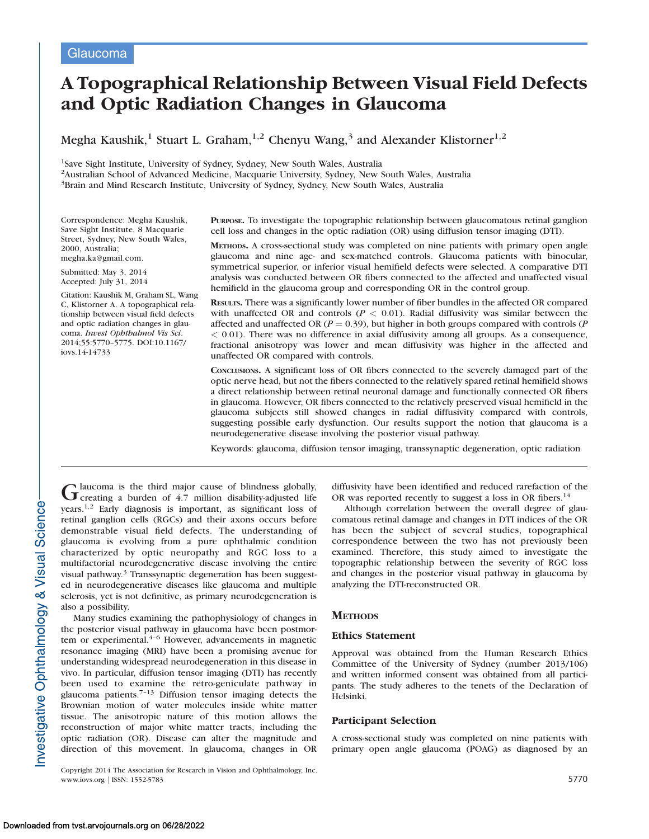# A Topographical Relationship Between Visual Field Defects and Optic Radiation Changes in Glaucoma

Megha Kaushik,<sup>1</sup> Stuart L. Graham,<sup>1,2</sup> Chenyu Wang,<sup>3</sup> and Alexander Klistorner<sup>1,2</sup>

1Save Sight Institute, University of Sydney, Sydney, New South Wales, Australia

2Australian School of Advanced Medicine, Macquarie University, Sydney, New South Wales, Australia

3Brain and Mind Research Institute, University of Sydney, Sydney, New South Wales, Australia

Correspondence: Megha Kaushik, Save Sight Institute, 8 Macquarie Street, Sydney, New South Wales, 2000, Australia; megha.ka@gmail.com.

Submitted: May 3, 2014 Accepted: July 31, 2014

Citation: Kaushik M, Graham SL, Wang C, Klistorner A. A topographical relationship between visual field defects and optic radiation changes in glaucoma. Invest Ophthalmol Vis Sci. 2014;55:5770–5775. DOI:10.1167/ iovs.14-14733

PURPOSE. To investigate the topographic relationship between glaucomatous retinal ganglion cell loss and changes in the optic radiation (OR) using diffusion tensor imaging (DTI).

METHODS. A cross-sectional study was completed on nine patients with primary open angle glaucoma and nine age- and sex-matched controls. Glaucoma patients with binocular, symmetrical superior, or inferior visual hemifield defects were selected. A comparative DTI analysis was conducted between OR fibers connected to the affected and unaffected visual hemifield in the glaucoma group and corresponding OR in the control group.

RESULTS. There was a significantly lower number of fiber bundles in the affected OR compared with unaffected OR and controls ( $P < 0.01$ ). Radial diffusivity was similar between the affected and unaffected OR ( $P = 0.39$ ), but higher in both groups compared with controls ( $P$  $<$  0.01). There was no difference in axial diffusivity among all groups. As a consequence, fractional anisotropy was lower and mean diffusivity was higher in the affected and unaffected OR compared with controls.

CONCLUSIONS. A significant loss of OR fibers connected to the severely damaged part of the optic nerve head, but not the fibers connected to the relatively spared retinal hemifield shows a direct relationship between retinal neuronal damage and functionally connected OR fibers in glaucoma. However, OR fibers connected to the relatively preserved visual hemifield in the glaucoma subjects still showed changes in radial diffusivity compared with controls, suggesting possible early dysfunction. Our results support the notion that glaucoma is a neurodegenerative disease involving the posterior visual pathway.

Keywords: glaucoma, diffusion tensor imaging, transsynaptic degeneration, optic radiation

Glaucoma is the third major cause of blindness globally,<br>Creating a burden of 4.7 million disability-adjusted life years.1,2 Early diagnosis is important, as significant loss of retinal ganglion cells (RGCs) and their axons occurs before demonstrable visual field defects. The understanding of glaucoma is evolving from a pure ophthalmic condition characterized by optic neuropathy and RGC loss to a multifactorial neurodegenerative disease involving the entire visual pathway.3 Transsynaptic degeneration has been suggested in neurodegenerative diseases like glaucoma and multiple sclerosis, yet is not definitive, as primary neurodegeneration is also a possibility.

Many studies examining the pathophysiology of changes in the posterior visual pathway in glaucoma have been postmortem or experimental.<sup>4-6</sup> However, advancements in magnetic resonance imaging (MRI) have been a promising avenue for understanding widespread neurodegeneration in this disease in vivo. In particular, diffusion tensor imaging (DTI) has recently been used to examine the retro-geniculate pathway in glaucoma patients.7–13 Diffusion tensor imaging detects the Brownian motion of water molecules inside white matter tissue. The anisotropic nature of this motion allows the reconstruction of major white matter tracts, including the optic radiation (OR). Disease can alter the magnitude and direction of this movement. In glaucoma, changes in OR

Copyright 2014 The Association for Research in Vision and Ophthalmology, Inc. www.iovs.org | ISSN: 1552-5783 5770

diffusivity have been identified and reduced rarefaction of the OR was reported recently to suggest a loss in OR fibers.<sup>14</sup>

Although correlation between the overall degree of glaucomatous retinal damage and changes in DTI indices of the OR has been the subject of several studies, topographical correspondence between the two has not previously been examined. Therefore, this study aimed to investigate the topographic relationship between the severity of RGC loss and changes in the posterior visual pathway in glaucoma by analyzing the DTI-reconstructed OR.

# **METHODS**

## Ethics Statement

Approval was obtained from the Human Research Ethics Committee of the University of Sydney (number 2013/106) and written informed consent was obtained from all participants. The study adheres to the tenets of the Declaration of Helsinki.

## Participant Selection

A cross-sectional study was completed on nine patients with primary open angle glaucoma (POAG) as diagnosed by an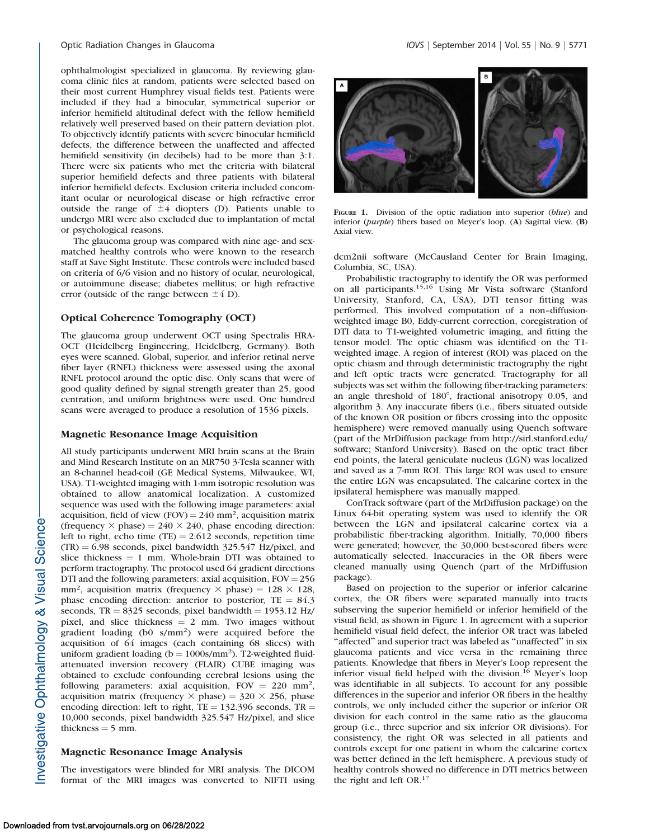ophthalmologist specialized in glaucoma. By reviewing glaucoma clinic files at random, patients were selected based on their most current Humphrey visual fields test. Patients were included if they had a binocular, symmetrical superior or inferior hemifield altitudinal defect with the fellow hemifield relatively well preserved based on their pattern deviation plot. To objectively identify patients with severe binocular hemifield defects, the difference between the unaffected and affected hemifield sensitivity (in decibels) had to be more than 3:1. There were six patients who met the criteria with bilateral superior hemifield defects and three patients with bilateral inferior hemifield defects. Exclusion criteria included concomitant ocular or neurological disease or high refractive error outside the range of  $\pm 4$  diopters (D). Patients unable to undergo MRI were also excluded due to implantation of metal or psychological reasons.

The glaucoma group was compared with nine age- and sexmatched healthy controls who were known to the research staff at Save Sight Institute. These controls were included based on criteria of 6/6 vision and no history of ocular, neurological, or autoimmune disease; diabetes mellitus; or high refractive error (outside of the range between  $\pm 4$  D).

### Optical Coherence Tomography (OCT)

The glaucoma group underwent OCT using Spectralis HRA-OCT (Heidelberg Engineering, Heidelberg, Germany). Both eyes were scanned. Global, superior, and inferior retinal nerve fiber layer (RNFL) thickness were assessed using the axonal RNFL protocol around the optic disc. Only scans that were of good quality defined by signal strength greater than 25, good centration, and uniform brightness were used. One hundred scans were averaged to produce a resolution of 1536 pixels.

#### Magnetic Resonance Image Acquisition

All study participants underwent MRI brain scans at the Brain and Mind Research Institute on an MR750 3-Tesla scanner with an 8-channel head-coil (GE Medical Systems, Milwaukee, WI, USA). T1-weighted imaging with 1-mm isotropic resolution was obtained to allow anatomical localization. A customized sequence was used with the following image parameters: axial acquisition, field of view (FOV) =  $240 \text{ mm}^2$ , acquisition matrix (frequency  $\times$  phase) = 240  $\times$  240, phase encoding direction: left to right, echo time (TE) =  $2.612$  seconds, repetition time  $(TR) = 6.98$  seconds, pixel bandwidth 325.547 Hz/pixel, and slice thickness  $= 1$  mm. Whole-brain DTI was obtained to perform tractography. The protocol used 64 gradient directions DTI and the following parameters: axial acquisition,  $FOV = 256$ mm<sup>2</sup>, acquisition matrix (frequency  $\times$  phase) = 128  $\times$  128, phase encoding direction: anterior to posterior,  $TE = 84.3$ seconds, TR = 8325 seconds, pixel bandwidth = 1953.12 Hz/ pixel, and slice thickness  $= 2$  mm. Two images without gradient loading (b0 s/mm2) were acquired before the acquisition of 64 images (each containing 68 slices) with uniform gradient loading ( $b = 1000$ s/mm<sup>2</sup>). T2-weighted fluidattenuated inversion recovery (FLAIR) CUBE imaging was obtained to exclude confounding cerebral lesions using the following parameters: axial acquisition,  $FOV = 220$  mm<sup>2</sup>, acquisition matrix (frequency  $\times$  phase) = 320  $\times$  256, phase encoding direction: left to right,  $TE = 132.396$  seconds,  $TR =$ 10,000 seconds, pixel bandwidth 325.547 Hz/pixel, and slice thickness  $=$  5 mm.

## Magnetic Resonance Image Analysis

The investigators were blinded for MRI analysis. The DICOM format of the MRI images was converted to NIFTI using



FIGURE 1. Division of the optic radiation into superior (blue) and inferior (purple) fibers based on Meyer's loop. (A) Sagittal view. (B) Axial view.

dcm2nii software (McCausland Center for Brain Imaging, Columbia, SC, USA).

Probabilistic tractography to identify the OR was performed on all participants.15,16 Using Mr Vista software (Stanford University, Stanford, CA, USA), DTI tensor fitting was performed. This involved computation of a non–diffusionweighted image B0, Eddy-current correction, coregistration of DTI data to T1-weighted volumetric imaging, and fitting the tensor model. The optic chiasm was identified on the T1 weighted image. A region of interest (ROI) was placed on the optic chiasm and through deterministic tractography the right and left optic tracts were generated. Tractography for all subjects was set within the following fiber-tracking parameters: an angle threshold of  $180^\circ$ , fractional anisotropy 0.05, and algorithm 3. Any inaccurate fibers (i.e., fibers situated outside of the known OR position or fibers crossing into the opposite hemisphere) were removed manually using Quench software (part of the MrDiffusion package from http://sirl.stanford.edu/ software; Stanford University). Based on the optic tract fiber end points, the lateral geniculate nucleus (LGN) was localized and saved as a 7-mm ROI. This large ROI was used to ensure the entire LGN was encapsulated. The calcarine cortex in the ipsilateral hemisphere was manually mapped.

ConTrack software (part of the MrDiffusion package) on the Linux 64-bit operating system was used to identify the OR between the LGN and ipsilateral calcarine cortex via a probabilistic fiber-tracking algorithm. Initially, 70,000 fibers were generated; however, the 30,000 best-scored fibers were automatically selected. Inaccuracies in the OR fibers were cleaned manually using Quench (part of the MrDiffusion package).

Based on projection to the superior or inferior calcarine cortex, the OR fibers were separated manually into tracts subserving the superior hemifield or inferior hemifield of the visual field, as shown in Figure 1. In agreement with a superior hemifield visual field defect, the inferior OR tract was labeled "affected" and superior tract was labeled as "unaffected" in six glaucoma patients and vice versa in the remaining three patients. Knowledge that fibers in Meyer's Loop represent the inferior visual field helped with the division.<sup>16</sup> Meyer's loop was identifiable in all subjects. To account for any possible differences in the superior and inferior OR fibers in the healthy controls, we only included either the superior or inferior OR division for each control in the same ratio as the glaucoma group (i.e., three superior and six inferior OR divisions). For consistency, the right OR was selected in all patients and controls except for one patient in whom the calcarine cortex was better defined in the left hemisphere. A previous study of healthy controls showed no difference in DTI metrics between the right and left OR.17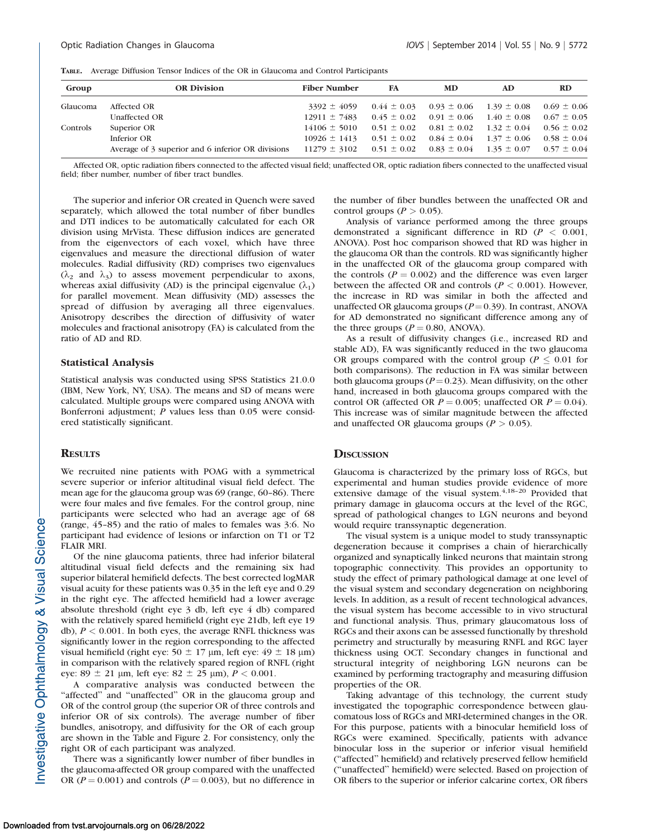|  |  |  |  |  |  |  |  |  | TABLE. Average Diffusion Tensor Indices of the OR in Glaucoma and Control Participants |  |  |  |  |
|--|--|--|--|--|--|--|--|--|----------------------------------------------------------------------------------------|--|--|--|--|
|--|--|--|--|--|--|--|--|--|----------------------------------------------------------------------------------------|--|--|--|--|

| Group    | <b>OR Division</b>                                | <b>Fiber Number</b>                                                              | FA | MD                                              | AD | RD              |
|----------|---------------------------------------------------|----------------------------------------------------------------------------------|----|-------------------------------------------------|----|-----------------|
| Glaucoma | Affected OR                                       | $3392 \pm 4059$                                                                  |    | $0.44 \pm 0.03$ $0.93 \pm 0.06$ $1.39 \pm 0.08$ |    | $0.69 \pm 0.06$ |
|          | Unaffected OR                                     | $12911 \pm 7483$ $0.45 \pm 0.02$ $0.91 \pm 0.06$ $1.40 \pm 0.08$ $0.67 \pm 0.05$ |    |                                                 |    |                 |
| Controls | Superior OR                                       | $14106 \pm 5010$ $0.51 \pm 0.02$ $0.81 \pm 0.02$ $1.32 \pm 0.04$ $0.56 \pm 0.02$ |    |                                                 |    |                 |
|          | Inferior OR                                       | $10926 \pm 1413$ $0.51 \pm 0.02$ $0.84 \pm 0.04$ $1.37 \pm 0.06$ $0.58 \pm 0.04$ |    |                                                 |    |                 |
|          | Average of 3 superior and 6 inferior OR divisions | $11279 \pm 3102$ 0.51 $\pm$ 0.02 0.83 $\pm$ 0.04 1.35 $\pm$ 0.07 0.57 $\pm$ 0.04 |    |                                                 |    |                 |

Affected OR, optic radiation fibers connected to the affected visual field; unaffected OR, optic radiation fibers connected to the unaffected visual field; fiber number, number of fiber tract bundles.

The superior and inferior OR created in Quench were saved separately, which allowed the total number of fiber bundles and DTI indices to be automatically calculated for each OR division using MrVista. These diffusion indices are generated from the eigenvectors of each voxel, which have three eigenvalues and measure the directional diffusion of water molecules. Radial diffusivity (RD) comprises two eigenvalues  $(\lambda_2 \text{ and } \lambda_3)$  to assess movement perpendicular to axons, whereas axial diffusivity (AD) is the principal eigenvalue  $(\lambda_1)$ for parallel movement. Mean diffusivity (MD) assesses the spread of diffusion by averaging all three eigenvalues. Anisotropy describes the direction of diffusivity of water molecules and fractional anisotropy (FA) is calculated from the ratio of AD and RD.

#### Statistical Analysis

Statistical analysis was conducted using SPSS Statistics 21.0.0 (IBM, New York, NY, USA). The means and SD of means were calculated. Multiple groups were compared using ANOVA with Bonferroni adjustment; P values less than 0.05 were considered statistically significant.

#### **RESULTS**

We recruited nine patients with POAG with a symmetrical severe superior or inferior altitudinal visual field defect. The mean age for the glaucoma group was 69 (range, 60–86). There were four males and five females. For the control group, nine participants were selected who had an average age of 68 (range, 45–85) and the ratio of males to females was 3:6. No participant had evidence of lesions or infarction on T1 or T2 FLAIR MRI.

Of the nine glaucoma patients, three had inferior bilateral altitudinal visual field defects and the remaining six had superior bilateral hemifield defects. The best corrected logMAR visual acuity for these patients was 0.35 in the left eye and 0.29 in the right eye. The affected hemifield had a lower average absolute threshold (right eye 3 db, left eye 4 db) compared with the relatively spared hemifield (right eye 21db, left eye 19 db),  $P < 0.001$ . In both eyes, the average RNFL thickness was significantly lower in the region corresponding to the affected visual hemifield (right eye:  $50 \pm 17$  µm, left eye:  $49 \pm 18$  µm) in comparison with the relatively spared region of RNFL (right eye:  $89 \pm 21$  µm, left eye:  $82 \pm 25$  µm),  $P < 0.001$ .

A comparative analysis was conducted between the "affected" and "unaffected" OR in the glaucoma group and OR of the control group (the superior OR of three controls and inferior OR of six controls). The average number of fiber bundles, anisotropy, and diffusivity for the OR of each group are shown in the Table and Figure 2. For consistency, only the right OR of each participant was analyzed.

There was a significantly lower number of fiber bundles in the glaucoma-affected OR group compared with the unaffected OR ( $P = 0.001$ ) and controls ( $P = 0.003$ ), but no difference in the number of fiber bundles between the unaffected OR and control groups ( $P > 0.05$ ).

Analysis of variance performed among the three groups demonstrated a significant difference in RD ( $P < 0.001$ , ANOVA). Post hoc comparison showed that RD was higher in the glaucoma OR than the controls. RD was significantly higher in the unaffected OR of the glaucoma group compared with the controls ( $P = 0.002$ ) and the difference was even larger between the affected OR and controls ( $P < 0.001$ ). However, the increase in RD was similar in both the affected and unaffected OR glaucoma groups ( $P = 0.39$ ). In contrast, ANOVA for AD demonstrated no significant difference among any of the three groups ( $P = 0.80$ , ANOVA).

As a result of diffusivity changes (i.e., increased RD and stable AD), FA was significantly reduced in the two glaucoma OR groups compared with the control group ( $P \leq 0.01$  for both comparisons). The reduction in FA was similar between both glaucoma groups ( $P = 0.23$ ). Mean diffusivity, on the other hand, increased in both glaucoma groups compared with the control OR (affected OR  $P = 0.005$ ; unaffected OR  $P = 0.04$ ). This increase was of similar magnitude between the affected and unaffected OR glaucoma groups ( $P > 0.05$ ).

#### **DISCUSSION**

Glaucoma is characterized by the primary loss of RGCs, but experimental and human studies provide evidence of more extensive damage of the visual system.<sup>4,18-20</sup> Provided that primary damage in glaucoma occurs at the level of the RGC, spread of pathological changes to LGN neurons and beyond would require transsynaptic degeneration.

The visual system is a unique model to study transsynaptic degeneration because it comprises a chain of hierarchically organized and synaptically linked neurons that maintain strong topographic connectivity. This provides an opportunity to study the effect of primary pathological damage at one level of the visual system and secondary degeneration on neighboring levels. In addition, as a result of recent technological advances, the visual system has become accessible to in vivo structural and functional analysis. Thus, primary glaucomatous loss of RGCs and their axons can be assessed functionally by threshold perimetry and structurally by measuring RNFL and RGC layer thickness using OCT. Secondary changes in functional and structural integrity of neighboring LGN neurons can be examined by performing tractography and measuring diffusion properties of the OR.

Taking advantage of this technology, the current study investigated the topographic correspondence between glaucomatous loss of RGCs and MRI-determined changes in the OR. For this purpose, patients with a binocular hemifield loss of RGCs were examined. Specifically, patients with advance binocular loss in the superior or inferior visual hemifield (''affected'' hemifield) and relatively preserved fellow hemifield (''unaffected'' hemifield) were selected. Based on projection of OR fibers to the superior or inferior calcarine cortex, OR fibers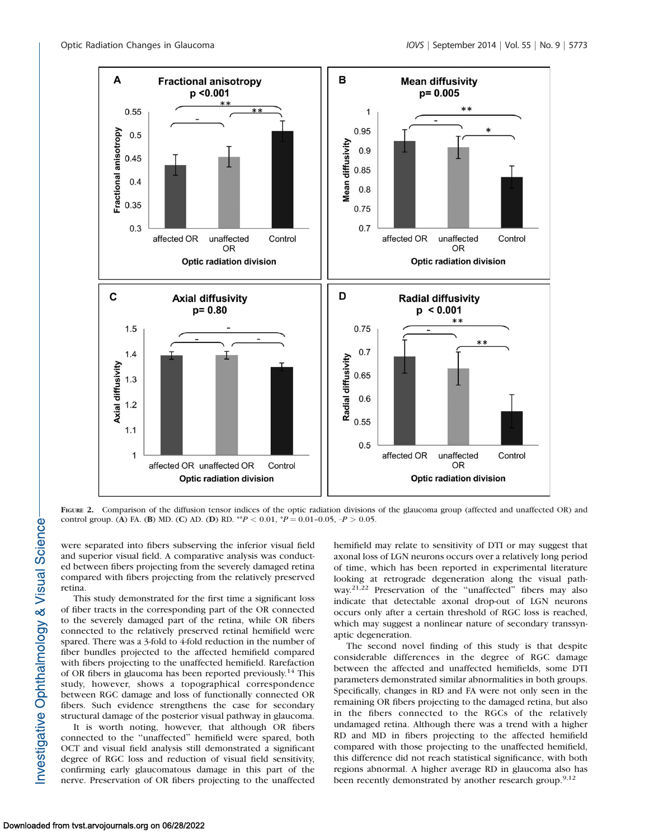

FIGURE 2. Comparison of the diffusion tensor indices of the optic radiation divisions of the glaucoma group (affected and unaffected OR) and control group. (A) FA. (B) MD. (C) AD. (D) RD. \*\* $P < 0.01$ , \* $P = 0.01$ -0.05, - $P > 0.05$ .

were separated into fibers subserving the inferior visual field and superior visual field. A comparative analysis was conducted between fibers projecting from the severely damaged retina compared with fibers projecting from the relatively preserved retina.

This study demonstrated for the first time a significant loss of fiber tracts in the corresponding part of the OR connected to the severely damaged part of the retina, while OR fibers connected to the relatively preserved retinal hemifield were spared. There was a 3-fold to 4-fold reduction in the number of fiber bundles projected to the affected hemifield compared with fibers projecting to the unaffected hemifield. Rarefaction of OR fibers in glaucoma has been reported previously.<sup>14</sup> This study, however, shows a topographical correspondence between RGC damage and loss of functionally connected OR fibers. Such evidence strengthens the case for secondary structural damage of the posterior visual pathway in glaucoma.

It is worth noting, however, that although OR fibers connected to the ''unaffected'' hemifield were spared, both OCT and visual field analysis still demonstrated a significant degree of RGC loss and reduction of visual field sensitivity, confirming early glaucomatous damage in this part of the nerve. Preservation of OR fibers projecting to the unaffected

hemifield may relate to sensitivity of DTI or may suggest that axonal loss of LGN neurons occurs over a relatively long period of time, which has been reported in experimental literature looking at retrograde degeneration along the visual pathway.<sup>21,22</sup> Preservation of the "unaffected" fibers may also indicate that detectable axonal drop-out of LGN neurons occurs only after a certain threshold of RGC loss is reached, which may suggest a nonlinear nature of secondary transsynaptic degeneration.

The second novel finding of this study is that despite considerable differences in the degree of RGC damage between the affected and unaffected hemifields, some DTI parameters demonstrated similar abnormalities in both groups. Specifically, changes in RD and FA were not only seen in the remaining OR fibers projecting to the damaged retina, but also in the fibers connected to the RGCs of the relatively undamaged retina. Although there was a trend with a higher RD and MD in fibers projecting to the affected hemifield compared with those projecting to the unaffected hemifield, this difference did not reach statistical significance, with both regions abnormal. A higher average RD in glaucoma also has been recently demonstrated by another research group.<sup>9,12</sup>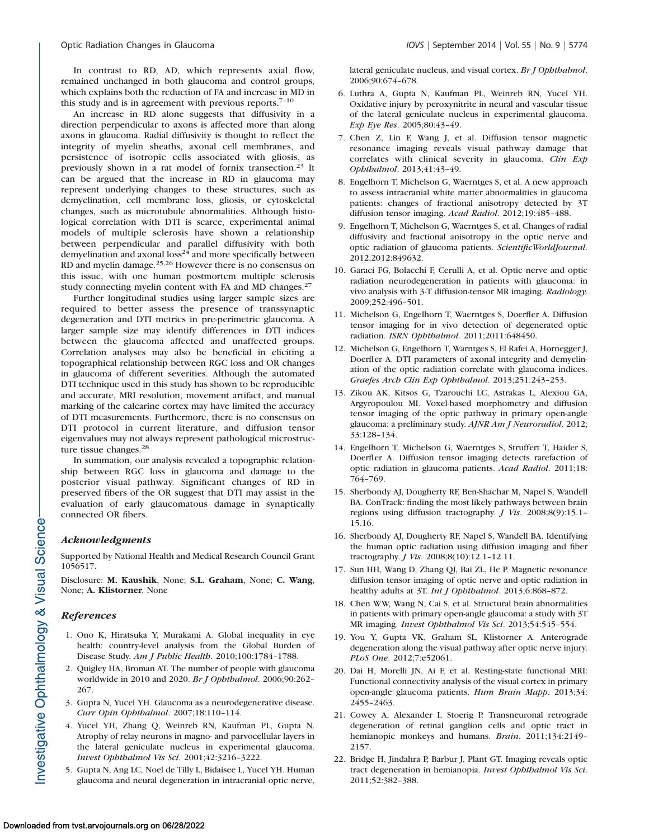In contrast to RD, AD, which represents axial flow, remained unchanged in both glaucoma and control groups, which explains both the reduction of FA and increase in MD in this study and is in agreement with previous reports. $7-10$ 

An increase in RD alone suggests that diffusivity in a direction perpendicular to axons is affected more than along axons in glaucoma. Radial diffusivity is thought to reflect the integrity of myelin sheaths, axonal cell membranes, and persistence of isotropic cells associated with gliosis, as previously shown in a rat model of fornix transection.<sup>23</sup> It can be argued that the increase in RD in glaucoma may represent underlying changes to these structures, such as demyelination, cell membrane loss, gliosis, or cytoskeletal changes, such as microtubule abnormalities. Although histological correlation with DTI is scarce, experimental animal models of multiple sclerosis have shown a relationship between perpendicular and parallel diffusivity with both demyelination and axonal  $loss<sup>24</sup>$  and more specifically between RD and myelin damage.<sup>25,26</sup> However there is no consensus on this issue, with one human postmortem multiple sclerosis study connecting myelin content with FA and MD changes.<sup>27</sup>

Further longitudinal studies using larger sample sizes are required to better assess the presence of transsynaptic degeneration and DTI metrics in pre-perimetric glaucoma. A larger sample size may identify differences in DTI indices between the glaucoma affected and unaffected groups. Correlation analyses may also be beneficial in eliciting a topographical relationship between RGC loss and OR changes in glaucoma of different severities. Although the automated DTI technique used in this study has shown to be reproducible and accurate, MRI resolution, movement artifact, and manual marking of the calcarine cortex may have limited the accuracy of DTI measurements. Furthermore, there is no consensus on DTI protocol in current literature, and diffusion tensor eigenvalues may not always represent pathological microstructure tissue changes.<sup>28</sup>

In summation, our analysis revealed a topographic relationship between RGC loss in glaucoma and damage to the posterior visual pathway. Significant changes of RD in preserved fibers of the OR suggest that DTI may assist in the evaluation of early glaucomatous damage in synaptically connected OR fibers.

## Acknowledgments

Supported by National Health and Medical Research Council Grant 1056517.

Disclosure: M. Kaushik, None; S.L. Graham, None; C. Wang, None; A. Klistorner, None

### References

- 1. Ono K, Hiratsuka Y, Murakami A. Global inequality in eye health: country-level analysis from the Global Burden of Disease Study. Am J Public Health. 2010;100:1784–1788.
- 2. Quigley HA, Broman AT. The number of people with glaucoma worldwide in 2010 and 2020. Br J Ophthalmol. 2006;90:262– 267.
- 3. Gupta N, Yucel YH. Glaucoma as a neurodegenerative disease. Curr Opin Ophthalmol. 2007;18:110–114.
- 4. Yucel YH, Zhang Q, Weinreb RN, Kaufman PL, Gupta N. Atrophy of relay neurons in magno- and parvocellular layers in the lateral geniculate nucleus in experimental glaucoma. Invest Ophthalmol Vis Sci. 2001;42:3216–3222.
- 5. Gupta N, Ang LC, Noel de Tilly L, Bidaisee L, Yucel YH. Human glaucoma and neural degeneration in intracranial optic nerve,

lateral geniculate nucleus, and visual cortex. Br J Ophthalmol. 2006;90:674–678.

- 6. Luthra A, Gupta N, Kaufman PL, Weinreb RN, Yucel YH. Oxidative injury by peroxynitrite in neural and vascular tissue of the lateral geniculate nucleus in experimental glaucoma. Exp Eye Res. 2005;80:43–49.
- 7. Chen Z, Lin F, Wang J, et al. Diffusion tensor magnetic resonance imaging reveals visual pathway damage that correlates with clinical severity in glaucoma. Clin Exp Ophthalmol. 2013;41:43–49.
- 8. Engelhorn T, Michelson G, Waerntges S, et al. A new approach to assess intracranial white matter abnormalities in glaucoma patients: changes of fractional anisotropy detected by 3T diffusion tensor imaging. Acad Radiol. 2012;19:485–488.
- 9. Engelhorn T, Michelson G, Waerntges S, et al. Changes of radial diffusivity and fractional anisotropy in the optic nerve and optic radiation of glaucoma patients. ScientificWorldJournal. 2012;2012:849632.
- 10. Garaci FG, Bolacchi F, Cerulli A, et al. Optic nerve and optic radiation neurodegeneration in patients with glaucoma: in vivo analysis with 3-T diffusion-tensor MR imaging. Radiology. 2009;252:496–501.
- 11. Michelson G, Engelhorn T, Waerntges S, Doerfler A. Diffusion tensor imaging for in vivo detection of degenerated optic radiation. ISRN Ophthalmol. 2011;2011:648450.
- 12. Michelson G, Engelhorn T, Warntges S, El Rafei A, Hornegger J, Doerfler A. DTI parameters of axonal integrity and demyelination of the optic radiation correlate with glaucoma indices. Graefes Arch Clin Exp Ophthalmol. 2013;251:243–253.
- 13. Zikou AK, Kitsos G, Tzarouchi LC, Astrakas L, Alexiou GA, Argyropoulou MI. Voxel-based morphometry and diffusion tensor imaging of the optic pathway in primary open-angle glaucoma: a preliminary study. AJNR Am J Neuroradiol. 2012; 33:128–134.
- 14. Engelhorn T, Michelson G, Waerntges S, Struffert T, Haider S, Doerfler A. Diffusion tensor imaging detects rarefaction of optic radiation in glaucoma patients. Acad Radiol. 2011;18: 764–769.
- 15. Sherbondy AJ, Dougherty RF, Ben-Shachar M, Napel S, Wandell BA. ConTrack: finding the most likely pathways between brain regions using diffusion tractography. J Vis. 2008;8(9):15.1– 15.16.
- 16. Sherbondy AJ, Dougherty RF, Napel S, Wandell BA. Identifying the human optic radiation using diffusion imaging and fiber tractography. J Vis. 2008;8(10):12.1–12.11.
- 17. Sun HH, Wang D, Zhang QJ, Bai ZL, He P. Magnetic resonance diffusion tensor imaging of optic nerve and optic radiation in healthy adults at 3T. Int J Ophthalmol. 2013;6:868-872.
- 18. Chen WW, Wang N, Cai S, et al. Structural brain abnormalities in patients with primary open-angle glaucoma: a study with 3T MR imaging. Invest Ophthalmol Vis Sci. 2013;54:545–554.
- 19. You Y, Gupta VK, Graham SL, Klistorner A. Anterograde degeneration along the visual pathway after optic nerve injury. PLoS One. 2012;7:e52061.
- 20. Dai H, Morelli JN, Ai F, et al. Resting-state functional MRI: Functional connectivity analysis of the visual cortex in primary open-angle glaucoma patients. Hum Brain Mapp. 2013;34: 2455–2463.
- 21. Cowey A, Alexander I, Stoerig P. Transneuronal retrograde degeneration of retinal ganglion cells and optic tract in hemianopic monkeys and humans. Brain. 2011;134:2149-2157.
- 22. Bridge H, Jindahra P, Barbur J, Plant GT. Imaging reveals optic tract degeneration in hemianopia. Invest Ophthalmol Vis Sci. 2011;52:382–388.